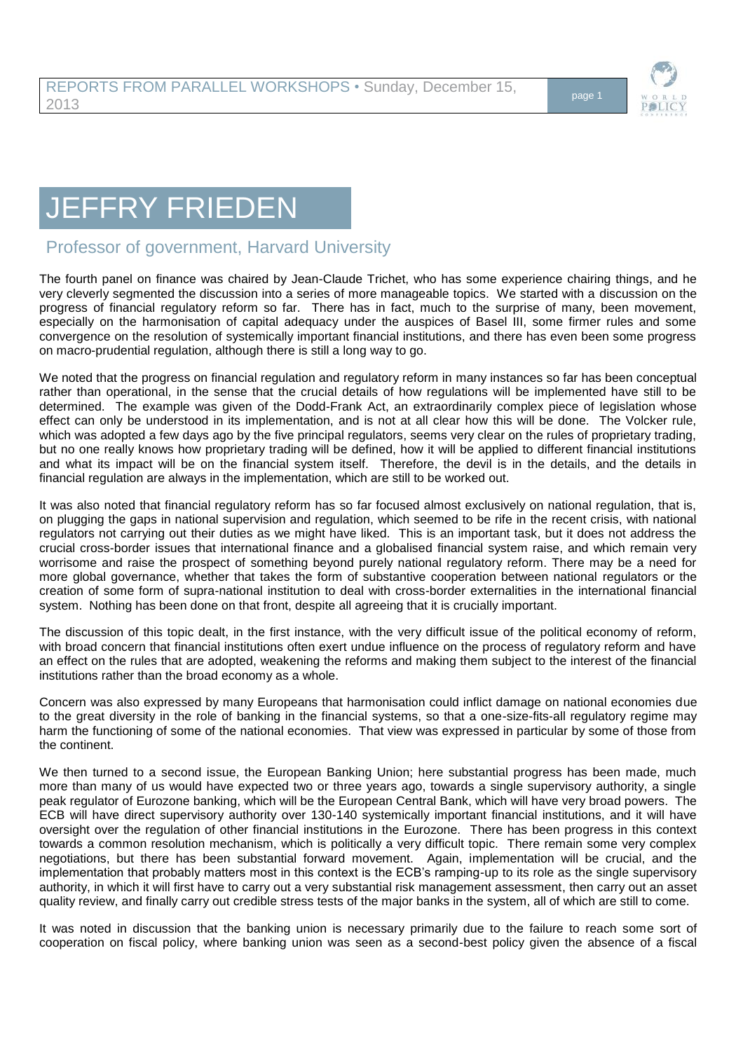

## JEFFRY FRIEDEN

## Professor of government, Harvard University

The fourth panel on finance was chaired by Jean-Claude Trichet, who has some experience chairing things, and he very cleverly segmented the discussion into a series of more manageable topics. We started with a discussion on the progress of financial regulatory reform so far. There has in fact, much to the surprise of many, been movement, especially on the harmonisation of capital adequacy under the auspices of Basel III, some firmer rules and some convergence on the resolution of systemically important financial institutions, and there has even been some progress on macro-prudential regulation, although there is still a long way to go.

We noted that the progress on financial regulation and regulatory reform in many instances so far has been conceptual rather than operational, in the sense that the crucial details of how regulations will be implemented have still to be determined. The example was given of the Dodd-Frank Act, an extraordinarily complex piece of legislation whose effect can only be understood in its implementation, and is not at all clear how this will be done. The Volcker rule, which was adopted a few days ago by the five principal regulators, seems very clear on the rules of proprietary trading, but no one really knows how proprietary trading will be defined, how it will be applied to different financial institutions and what its impact will be on the financial system itself. Therefore, the devil is in the details, and the details in financial regulation are always in the implementation, which are still to be worked out.

It was also noted that financial regulatory reform has so far focused almost exclusively on national regulation, that is, on plugging the gaps in national supervision and regulation, which seemed to be rife in the recent crisis, with national regulators not carrying out their duties as we might have liked. This is an important task, but it does not address the crucial cross-border issues that international finance and a globalised financial system raise, and which remain very worrisome and raise the prospect of something beyond purely national regulatory reform. There may be a need for more global governance, whether that takes the form of substantive cooperation between national regulators or the creation of some form of supra-national institution to deal with cross-border externalities in the international financial system. Nothing has been done on that front, despite all agreeing that it is crucially important.

The discussion of this topic dealt, in the first instance, with the very difficult issue of the political economy of reform, with broad concern that financial institutions often exert undue influence on the process of regulatory reform and have an effect on the rules that are adopted, weakening the reforms and making them subject to the interest of the financial institutions rather than the broad economy as a whole.

Concern was also expressed by many Europeans that harmonisation could inflict damage on national economies due to the great diversity in the role of banking in the financial systems, so that a one-size-fits-all regulatory regime may harm the functioning of some of the national economies. That view was expressed in particular by some of those from the continent.

We then turned to a second issue, the European Banking Union; here substantial progress has been made, much more than many of us would have expected two or three years ago, towards a single supervisory authority, a single peak regulator of Eurozone banking, which will be the European Central Bank, which will have very broad powers. The ECB will have direct supervisory authority over 130-140 systemically important financial institutions, and it will have oversight over the regulation of other financial institutions in the Eurozone. There has been progress in this context towards a common resolution mechanism, which is politically a very difficult topic. There remain some very complex negotiations, but there has been substantial forward movement. Again, implementation will be crucial, and the implementation that probably matters most in this context is the ECB's ramping-up to its role as the single supervisory authority, in which it will first have to carry out a very substantial risk management assessment, then carry out an asset quality review, and finally carry out credible stress tests of the major banks in the system, all of which are still to come.

It was noted in discussion that the banking union is necessary primarily due to the failure to reach some sort of cooperation on fiscal policy, where banking union was seen as a second-best policy given the absence of a fiscal